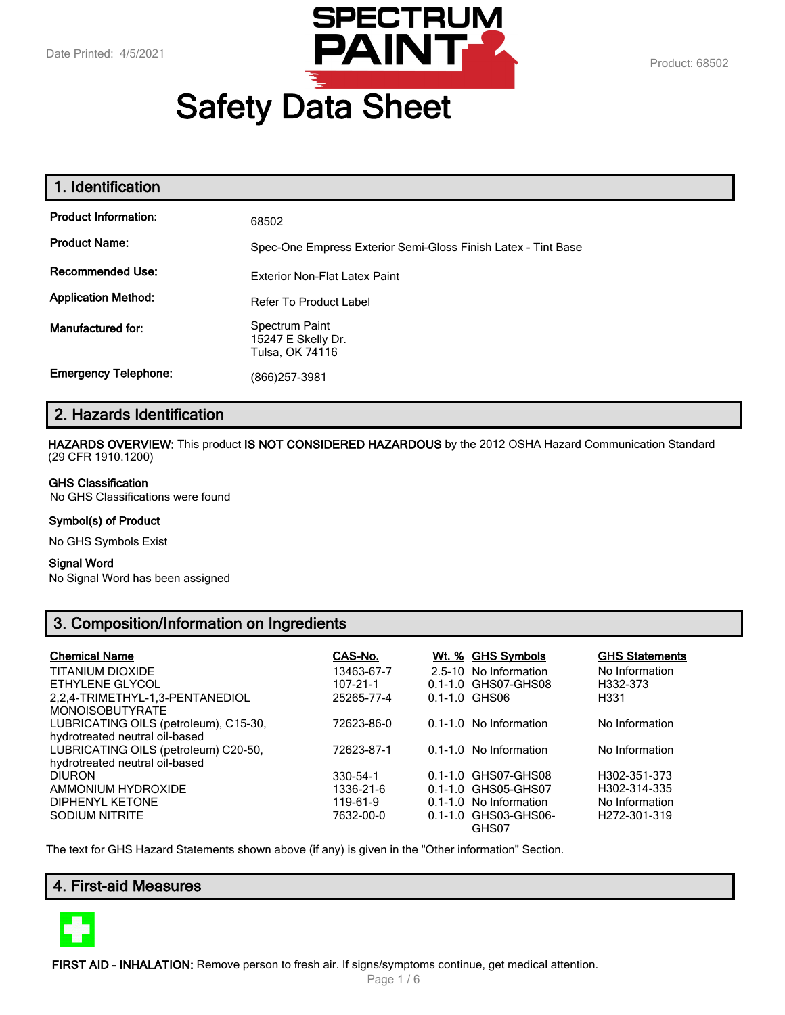

# **Safety Data Sheet**

| 1. Identification           |                                                               |
|-----------------------------|---------------------------------------------------------------|
| <b>Product Information:</b> | 68502                                                         |
| <b>Product Name:</b>        | Spec-One Empress Exterior Semi-Gloss Finish Latex - Tint Base |
| <b>Recommended Use:</b>     | Exterior Non-Flat Latex Paint                                 |
| <b>Application Method:</b>  | <b>Refer To Product Label</b>                                 |
| Manufactured for:           | Spectrum Paint<br>15247 E Skelly Dr.<br>Tulsa, OK 74116       |
| <b>Emergency Telephone:</b> | (866) 257-3981                                                |

# **2. Hazards Identification**

**HAZARDS OVERVIEW:** This product **IS NOT CONSIDERED HAZARDOUS** by the 2012 OSHA Hazard Communication Standard (29 CFR 1910.1200)

#### **GHS Classification**

No GHS Classifications were found

#### **Symbol(s) of Product**

No GHS Symbols Exist

#### **Signal Word**

No Signal Word has been assigned

# **3. Composition/Information on Ingredients**

| <b>Chemical Name</b>                  | CAS-No.        | Wt. % GHS Symbols          | <b>GHS Statements</b>     |
|---------------------------------------|----------------|----------------------------|---------------------------|
| <b>TITANIUM DIOXIDE</b>               | 13463-67-7     | 2.5-10 No Information      | No Information            |
| ETHYLENE GLYCOL                       | $107 - 21 - 1$ | 0.1-1.0 GHS07-GHS08        | H332-373                  |
| 2,2,4-TRIMETHYL-1,3-PENTANEDIOL       | 25265-77-4     | $0.1 - 1.0$ GHS06          | H331                      |
| <b>MONOISOBUTYRATE</b>                |                |                            |                           |
| LUBRICATING OILS (petroleum), C15-30, | 72623-86-0     | 0.1-1.0 No Information     | No Information            |
| hydrotreated neutral oil-based        |                |                            |                           |
| LUBRICATING OILS (petroleum) C20-50,  | 72623-87-1     | $0.1 - 1.0$ No Information | No Information            |
| hydrotreated neutral oil-based        |                |                            |                           |
| <b>DIURON</b>                         | 330-54-1       | 0.1-1.0 GHS07-GHS08        | H302-351-373              |
| AMMONIUM HYDROXIDE                    | 1336-21-6      | 0.1-1.0 GHS05-GHS07        | H302-314-335              |
| DIPHENYL KETONE                       | 119-61-9       | $0.1 - 1.0$ No Information | No Information            |
| <b>SODIUM NITRITE</b>                 | 7632-00-0      | 0.1-1.0 GHS03-GHS06-       | H <sub>272</sub> -301-319 |
|                                       |                | GHS07                      |                           |

The text for GHS Hazard Statements shown above (if any) is given in the "Other information" Section.

# **4. First-aid Measures**



**FIRST AID - INHALATION:** Remove person to fresh air. If signs/symptoms continue, get medical attention.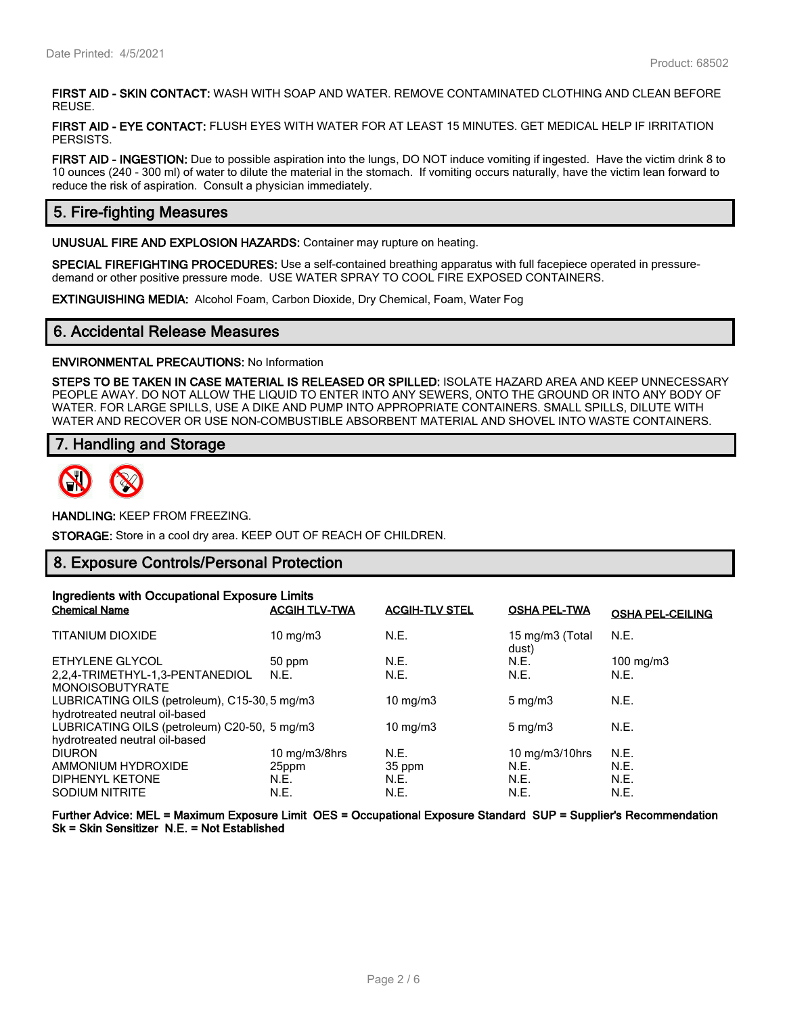**FIRST AID - SKIN CONTACT:** WASH WITH SOAP AND WATER. REMOVE CONTAMINATED CLOTHING AND CLEAN BEFORE REUSE.

**FIRST AID - EYE CONTACT:** FLUSH EYES WITH WATER FOR AT LEAST 15 MINUTES. GET MEDICAL HELP IF IRRITATION PERSISTS.

**FIRST AID - INGESTION:** Due to possible aspiration into the lungs, DO NOT induce vomiting if ingested. Have the victim drink 8 to 10 ounces (240 - 300 ml) of water to dilute the material in the stomach. If vomiting occurs naturally, have the victim lean forward to reduce the risk of aspiration. Consult a physician immediately.

## **5. Fire-fighting Measures**

**UNUSUAL FIRE AND EXPLOSION HAZARDS:** Container may rupture on heating.

**SPECIAL FIREFIGHTING PROCEDURES:** Use a self-contained breathing apparatus with full facepiece operated in pressuredemand or other positive pressure mode. USE WATER SPRAY TO COOL FIRE EXPOSED CONTAINERS.

**EXTINGUISHING MEDIA:** Alcohol Foam, Carbon Dioxide, Dry Chemical, Foam, Water Fog

## **6. Accidental Release Measures**

#### **ENVIRONMENTAL PRECAUTIONS:** No Information

**STEPS TO BE TAKEN IN CASE MATERIAL IS RELEASED OR SPILLED:** ISOLATE HAZARD AREA AND KEEP UNNECESSARY PEOPLE AWAY. DO NOT ALLOW THE LIQUID TO ENTER INTO ANY SEWERS, ONTO THE GROUND OR INTO ANY BODY OF WATER. FOR LARGE SPILLS, USE A DIKE AND PUMP INTO APPROPRIATE CONTAINERS. SMALL SPILLS, DILUTE WITH WATER AND RECOVER OR USE NON-COMBUSTIBLE ABSORBENT MATERIAL AND SHOVEL INTO WASTE CONTAINERS.

## **7. Handling and Storage**



**HANDLING:** KEEP FROM FREEZING.

**STORAGE:** Store in a cool dry area. KEEP OUT OF REACH OF CHILDREN.

#### **8. Exposure Controls/Personal Protection**

| Ingredients with Occupational Exposure Limits |                             |                       |                          |                         |
|-----------------------------------------------|-----------------------------|-----------------------|--------------------------|-------------------------|
| <b>Chemical Name</b>                          | <b>ACGIH TLV-TWA</b>        | <b>ACGIH-TLV STEL</b> | <b>OSHA PEL-TWA</b>      | <b>OSHA PEL-CEILING</b> |
| TITANIUM DIOXIDE                              | $10 \text{ mg/m}$           | N.E.                  | 15 mg/m3 (Total<br>dust) | N.E.                    |
| ETHYLENE GLYCOL                               | 50 ppm                      | N.E.                  | N.E.                     | $100 \text{ mg/m}$      |
| 2.2.4-TRIMETHYL-1.3-PENTANEDIOL               | N.E.                        | N.E.                  | N.E.                     | N.E.                    |
| <b>MONOISOBUTYRATE</b>                        |                             |                       |                          |                         |
| LUBRICATING OILS (petroleum), C15-30, 5 mg/m3 |                             | $10 \text{ mg/m}$     | $5 \text{ mg/m}$         | N.E.                    |
| hydrotreated neutral oil-based                |                             |                       |                          |                         |
| LUBRICATING OILS (petroleum) C20-50, 5 mg/m3  |                             | 10 mg/m $3$           | $5 \text{ mg/m}$         | N.E.                    |
| hydrotreated neutral oil-based                |                             |                       |                          |                         |
| <b>DIURON</b>                                 | $10 \text{ mg/m}$ $3/8$ hrs | N.E.                  | 10 $mg/m3/10$ hrs        | N.E.                    |
| AMMONIUM HYDROXIDE                            | 25ppm                       | 35 ppm                | N.E.                     | N.E.                    |
| DIPHENYL KETONE                               | N.E.                        | N.E.                  | N.E.                     | N.E.                    |
| <b>SODIUM NITRITE</b>                         | N.E.                        | N.E.                  | N.E.                     | N.E.                    |

**Further Advice: MEL = Maximum Exposure Limit OES = Occupational Exposure Standard SUP = Supplier's Recommendation Sk = Skin Sensitizer N.E. = Not Established**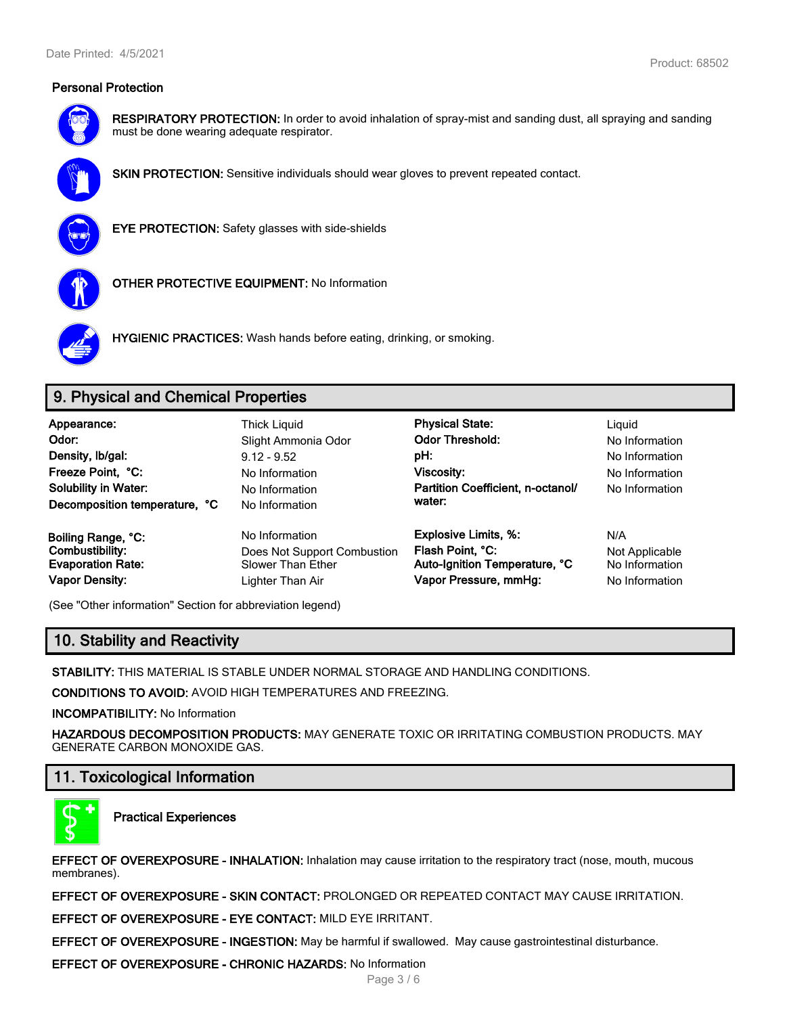

**RESPIRATORY PROTECTION:** In order to avoid inhalation of spray-mist and sanding dust, all spraying and sanding must be done wearing adequate respirator.



**SKIN PROTECTION:** Sensitive individuals should wear gloves to prevent repeated contact.



**EYE PROTECTION:** Safety glasses with side-shields



**OTHER PROTECTIVE EQUIPMENT:** No Information



**HYGIENIC PRACTICES:** Wash hands before eating, drinking, or smoking.

# **9. Physical and Chemical Properties**

| Appearance:<br>Odor:<br>Density, Ib/gal:<br>Freeze Point, °C:<br><b>Solubility in Water:</b><br>Decomposition temperature, °C | Thick Liguid<br>Slight Ammonia Odor<br>$9.12 - 9.52$<br>No Information<br>No Information<br>No Information | <b>Physical State:</b><br><b>Odor Threshold:</b><br>pH:<br><b>Viscosity:</b><br>Partition Coefficient, n-octanol/<br>water: | Liguid<br>No Information<br>No Information<br>No Information<br>No Information |
|-------------------------------------------------------------------------------------------------------------------------------|------------------------------------------------------------------------------------------------------------|-----------------------------------------------------------------------------------------------------------------------------|--------------------------------------------------------------------------------|
| Boiling Range, °C:                                                                                                            | No Information                                                                                             | <b>Explosive Limits, %:</b>                                                                                                 | N/A                                                                            |
| Combustibility:                                                                                                               | Does Not Support Combustion                                                                                | Flash Point, °C:                                                                                                            | Not Applicable                                                                 |
| <b>Evaporation Rate:</b>                                                                                                      | <b>Slower Than Ether</b>                                                                                   | Auto-Ignition Temperature, °C                                                                                               | No Information                                                                 |
| <b>Vapor Density:</b>                                                                                                         | Lighter Than Air                                                                                           | Vapor Pressure, mmHg:                                                                                                       | No Information                                                                 |

(See "Other information" Section for abbreviation legend)

# **10. Stability and Reactivity**

**STABILITY:** THIS MATERIAL IS STABLE UNDER NORMAL STORAGE AND HANDLING CONDITIONS.

**CONDITIONS TO AVOID:** AVOID HIGH TEMPERATURES AND FREEZING.

**INCOMPATIBILITY:** No Information

**HAZARDOUS DECOMPOSITION PRODUCTS:** MAY GENERATE TOXIC OR IRRITATING COMBUSTION PRODUCTS. MAY GENERATE CARBON MONOXIDE GAS.

# **11. Toxicological Information**



**Practical Experiences**

**EFFECT OF OVEREXPOSURE - INHALATION:** Inhalation may cause irritation to the respiratory tract (nose, mouth, mucous membranes).

**EFFECT OF OVEREXPOSURE - SKIN CONTACT:** PROLONGED OR REPEATED CONTACT MAY CAUSE IRRITATION.

**EFFECT OF OVEREXPOSURE - EYE CONTACT:** MILD EYE IRRITANT.

**EFFECT OF OVEREXPOSURE - INGESTION:** May be harmful if swallowed. May cause gastrointestinal disturbance.

**EFFECT OF OVEREXPOSURE - CHRONIC HAZARDS:** No Information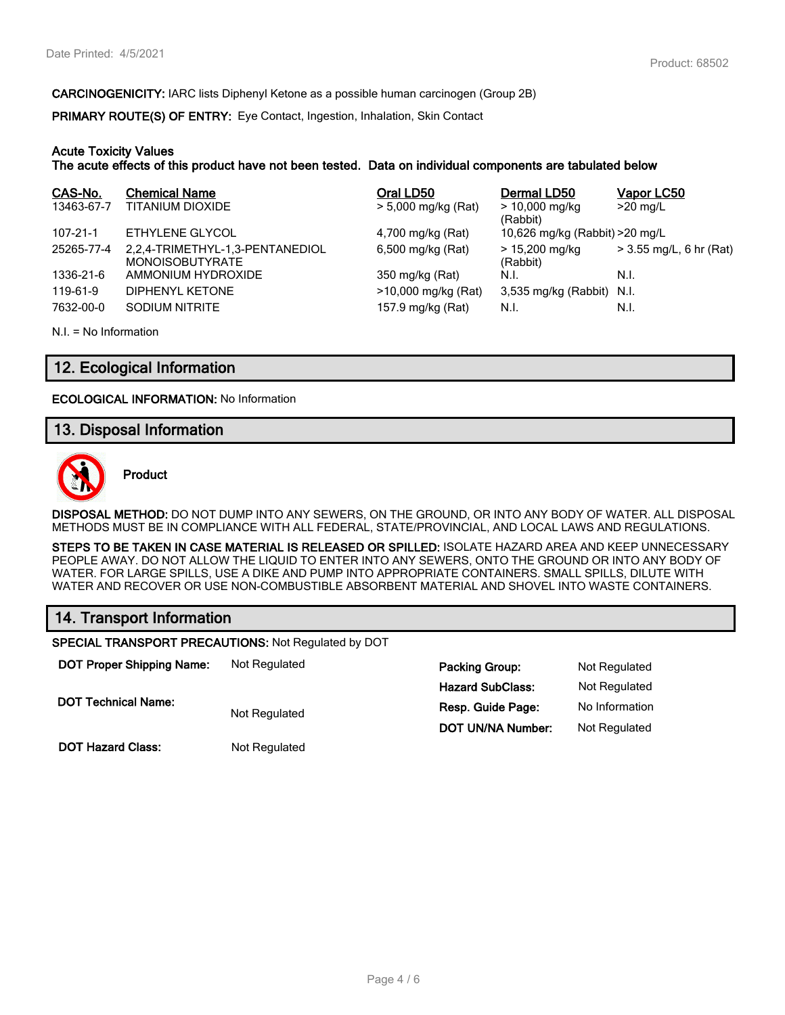**CARCINOGENICITY:** IARC lists Diphenyl Ketone as a possible human carcinogen (Group 2B)

**PRIMARY ROUTE(S) OF ENTRY:** Eye Contact, Ingestion, Inhalation, Skin Contact

#### **Acute Toxicity Values**

**The acute effects of this product have not been tested. Data on individual components are tabulated below**

| CAS-No.        | <b>Chemical Name</b>                                      | Oral LD50           | Dermal LD50                     | Vapor LC50              |
|----------------|-----------------------------------------------------------|---------------------|---------------------------------|-------------------------|
| 13463-67-7     | TITANIUM DIOXIDE                                          | > 5,000 mg/kg (Rat) | $> 10,000$ mg/kg<br>(Rabbit)    | $>20$ mg/L              |
| $107 - 21 - 1$ | ETHYLENE GLYCOL                                           | 4,700 mg/kg (Rat)   | 10,626 mg/kg (Rabbit) > 20 mg/L |                         |
| 25265-77-4     | 2,2,4-TRIMETHYL-1,3-PENTANEDIOL<br><b>MONOISOBUTYRATE</b> | 6,500 mg/kg (Rat)   | $> 15,200$ mg/kg<br>(Rabbit)    | > 3.55 mg/L, 6 hr (Rat) |
| 1336-21-6      | AMMONIUM HYDROXIDE                                        | 350 mg/kg (Rat)     | N.I.                            | N.I.                    |
| 119-61-9       | DIPHENYL KETONE                                           | >10,000 mg/kg (Rat) | 3,535 mg/kg (Rabbit) N.I.       |                         |
| 7632-00-0      | SODIUM NITRITE                                            | 157.9 mg/kg (Rat)   | N.I.                            | N.I.                    |

N.I. = No Information

## **12. Ecological Information**

**ECOLOGICAL INFORMATION:** No Information

## **13. Disposal Information**



**Product**

**DISPOSAL METHOD:** DO NOT DUMP INTO ANY SEWERS, ON THE GROUND, OR INTO ANY BODY OF WATER. ALL DISPOSAL METHODS MUST BE IN COMPLIANCE WITH ALL FEDERAL, STATE/PROVINCIAL, AND LOCAL LAWS AND REGULATIONS.

**STEPS TO BE TAKEN IN CASE MATERIAL IS RELEASED OR SPILLED:** ISOLATE HAZARD AREA AND KEEP UNNECESSARY PEOPLE AWAY. DO NOT ALLOW THE LIQUID TO ENTER INTO ANY SEWERS, ONTO THE GROUND OR INTO ANY BODY OF WATER. FOR LARGE SPILLS, USE A DIKE AND PUMP INTO APPROPRIATE CONTAINERS. SMALL SPILLS, DILUTE WITH WATER AND RECOVER OR USE NON-COMBUSTIBLE ABSORBENT MATERIAL AND SHOVEL INTO WASTE CONTAINERS.

# **14. Transport Information**

**SPECIAL TRANSPORT PRECAUTIONS:** Not Regulated by DOT

| <b>DOT Proper Shipping Name:</b> | Not Regulated | <b>Packing Group:</b>    | Not Regulated  |
|----------------------------------|---------------|--------------------------|----------------|
|                                  |               | <b>Hazard SubClass:</b>  | Not Regulated  |
| <b>DOT Technical Name:</b>       | Not Regulated | Resp. Guide Page:        | No Information |
|                                  |               | <b>DOT UN/NA Number:</b> | Not Regulated  |
| <b>DOT Hazard Class:</b>         | Not Regulated |                          |                |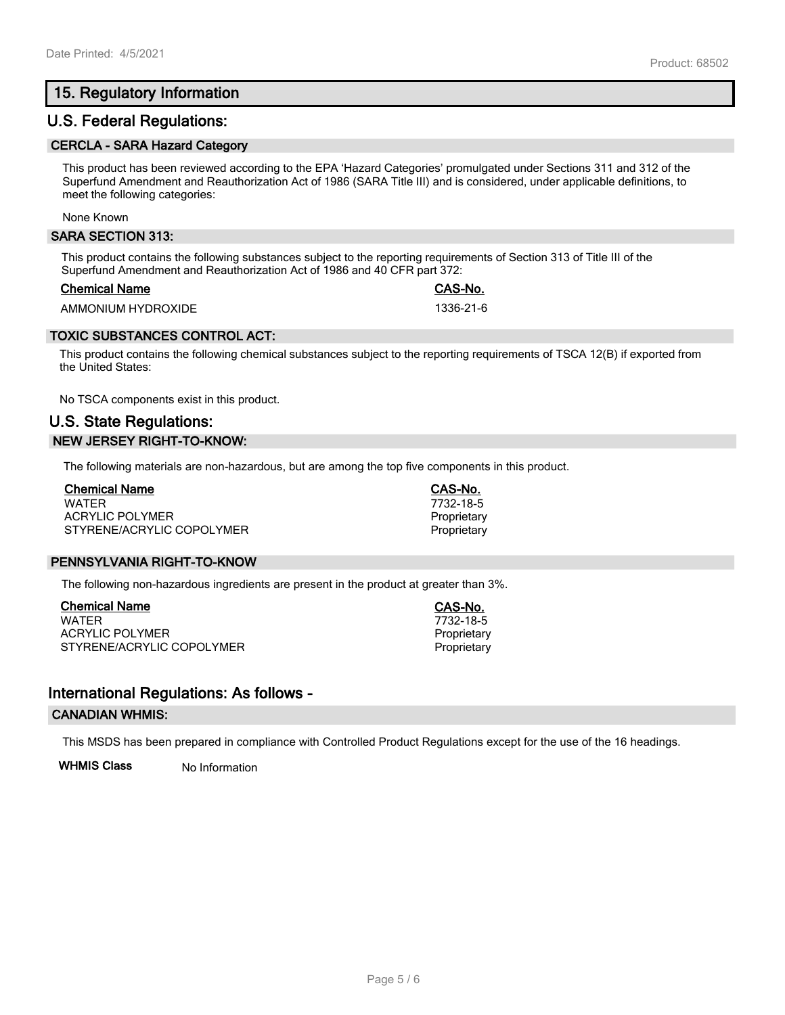# **15. Regulatory Information**

## **U.S. Federal Regulations:**

#### **CERCLA - SARA Hazard Category**

This product has been reviewed according to the EPA 'Hazard Categories' promulgated under Sections 311 and 312 of the Superfund Amendment and Reauthorization Act of 1986 (SARA Title III) and is considered, under applicable definitions, to meet the following categories:

#### None Known

#### **SARA SECTION 313:**

This product contains the following substances subject to the reporting requirements of Section 313 of Title III of the Superfund Amendment and Reauthorization Act of 1986 and 40 CFR part 372:

#### **Chemical Name CAS-No.**

AMMONIUM HYDROXIDE 1336-21-6

## **TOXIC SUBSTANCES CONTROL ACT:**

This product contains the following chemical substances subject to the reporting requirements of TSCA 12(B) if exported from the United States:

No TSCA components exist in this product.

# **U.S. State Regulations: NEW JERSEY RIGHT-TO-KNOW:**

The following materials are non-hazardous, but are among the top five components in this product.

| <b>Chemical Name</b>      |  |
|---------------------------|--|
| WATFR                     |  |
| ACRYLIC POLYMER           |  |
| STYRENE/ACRYLIC COPOLYMER |  |

#### **PENNSYLVANIA RIGHT-TO-KNOW**

The following non-hazardous ingredients are present in the product at greater than 3%.

**Chemical Name CAS-No.** ACRYLIC POLYMER **Proprietary** Proprietary STYRENE/ACRYLIC COPOLYMER **Proprietary** Proprietary

# **International Regulations: As follows -**

#### **CANADIAN WHMIS:**

This MSDS has been prepared in compliance with Controlled Product Regulations except for the use of the 16 headings.

**WHMIS Class** No Information

WATER 7732-18-5 Proprietary Proprietary

**Chemical Name CAS-No.**

 $7732 - 18 - 5$